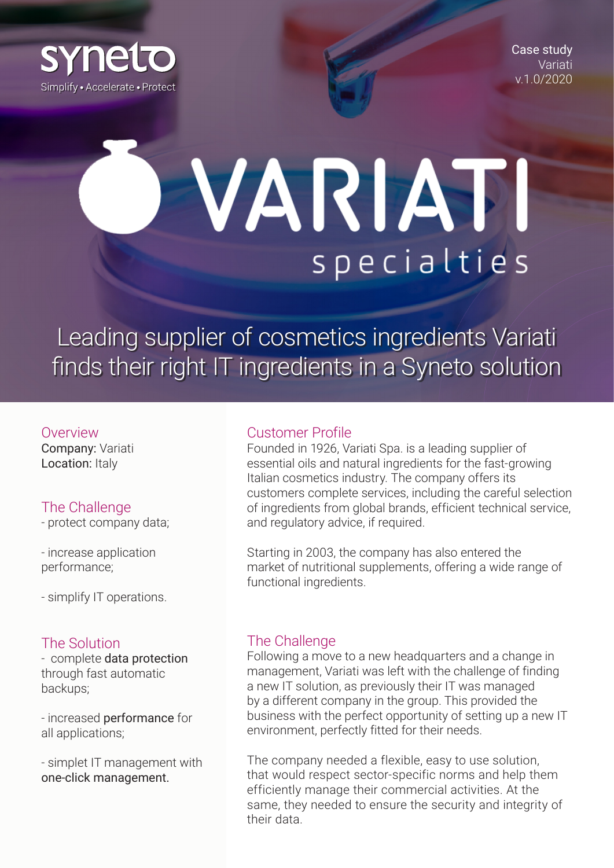

Case study Variati v.1.0/2020

# VARIATI specialties

Leading supplier of cosmetics ingredients Variati finds their right IT ingredients in a Syneto solution

#### Overview

Company: Variati Location: Italy

## The Challenge

- protect company data;

- increase application performance;

- simplify IT operations.

## The Solution

- complete data protection through fast automatic backups;

- increased performance for all applications;

- simplet IT management with one-click management.

#### Customer Profile

Founded in 1926, Variati Spa. is a leading supplier of essential oils and natural ingredients for the fast-growing Italian cosmetics industry. The company offers its customers complete services, including the careful selection of ingredients from global brands, efficient technical service, and regulatory advice, if required.

Starting in 2003, the company has also entered the market of nutritional supplements, offering a wide range of functional ingredients.

# The Challenge

Following a move to a new headquarters and a change in management, Variati was left with the challenge of finding a new IT solution, as previously their IT was managed by a different company in the group. This provided the business with the perfect opportunity of setting up a new IT environment, perfectly fitted for their needs.

The company needed a flexible, easy to use solution, that would respect sector-specific norms and help them efficiently manage their commercial activities. At the same, they needed to ensure the security and integrity of their data.